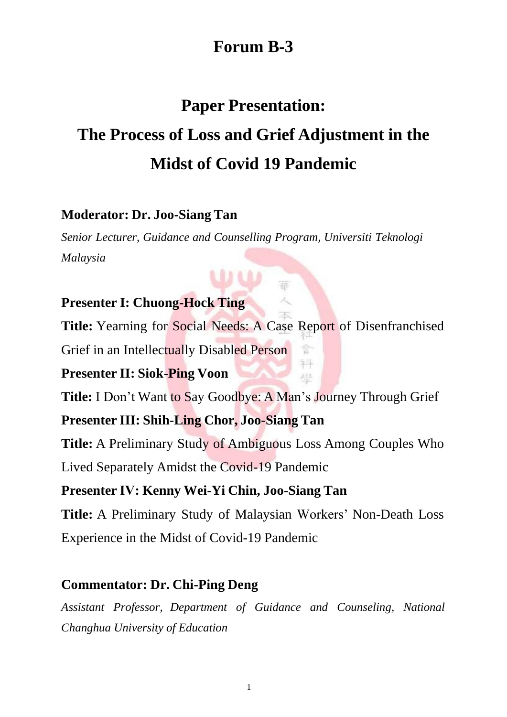# **Forum B-3**

## **Paper Presentation:**

# **The Process of Loss and Grief Adjustment in the Midst of Covid 19 Pandemic**

#### **Moderator: Dr. Joo-Siang Tan**

*Senior Lecturer, Guidance and Counselling Program, Universiti Teknologi Malaysia*

#### **Presenter I: Chuong-Hock Ting**

**Title:** Yearning for Social Needs: A Case Report of Disenfranchised

Ť 科 月期

Grief in an Intellectually Disabled Person

#### **Presenter II: Siok-Ping Voon**

**Title:** I Don't Want to Say Goodbye: A Man's Journey Through Grief

## **Presenter III: Shih-Ling Chor, Joo-Siang Tan**

**Title:** A Preliminary Study of Ambiguous Loss Among Couples Who Lived Separately Amidst the Covid-19 Pandemic

## **Presenter Ⅳ: Kenny Wei-Yi Chin, Joo-Siang Tan**

**Title:** A Preliminary Study of Malaysian Workers' Non-Death Loss Experience in the Midst of Covid-19 Pandemic

## **Commentator: Dr. Chi-Ping Deng**

*Assistant Professor, Department of Guidance and Counseling, National Changhua University of Education*